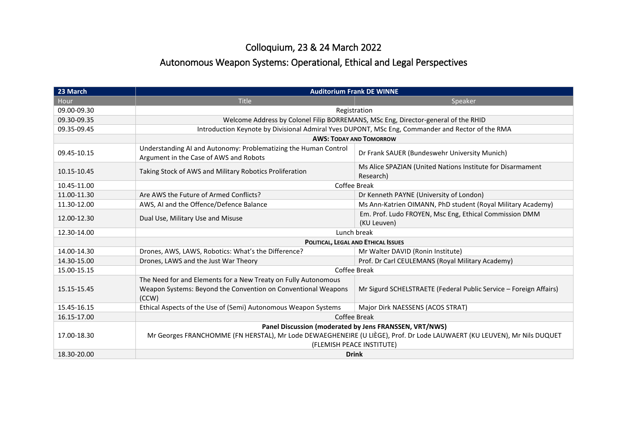## Colloquium, 23 & 24 March 2022

## Autonomous Weapon Systems: Operational, Ethical and Legal Perspectives

| 23 March    | <b>Auditorium Frank DE WINNE</b>                                                                                                                                                                               |                                                                         |
|-------------|----------------------------------------------------------------------------------------------------------------------------------------------------------------------------------------------------------------|-------------------------------------------------------------------------|
| Hour        | <b>Title</b>                                                                                                                                                                                                   | Speaker                                                                 |
| 09.00-09.30 | Registration                                                                                                                                                                                                   |                                                                         |
| 09.30-09.35 | Welcome Address by Colonel Filip BORREMANS, MSc Eng, Director-general of the RHID                                                                                                                              |                                                                         |
| 09.35-09.45 | Introduction Keynote by Divisional Admiral Yves DUPONT, MSc Eng, Commander and Rector of the RMA                                                                                                               |                                                                         |
|             | <b>AWS: TODAY AND TOMORROW</b>                                                                                                                                                                                 |                                                                         |
| 09.45-10.15 | Understanding AI and Autonomy: Problematizing the Human Control<br>Argument in the Case of AWS and Robots                                                                                                      | Dr Frank SAUER (Bundeswehr University Munich)                           |
| 10.15-10.45 | Taking Stock of AWS and Military Robotics Proliferation                                                                                                                                                        | Ms Alice SPAZIAN (United Nations Institute for Disarmament<br>Research) |
| 10.45-11.00 | Coffee Break                                                                                                                                                                                                   |                                                                         |
| 11.00-11.30 | Are AWS the Future of Armed Conflicts?                                                                                                                                                                         | Dr Kenneth PAYNE (University of London)                                 |
| 11.30-12.00 | AWS, AI and the Offence/Defence Balance                                                                                                                                                                        | Ms Ann-Katrien OIMANN, PhD student (Royal Military Academy)             |
| 12.00-12.30 | Dual Use, Military Use and Misuse                                                                                                                                                                              | Em. Prof. Ludo FROYEN, Msc Eng, Ethical Commission DMM                  |
|             |                                                                                                                                                                                                                | (KU Leuven)                                                             |
| 12.30-14.00 | Lunch break                                                                                                                                                                                                    |                                                                         |
|             | POLITICAL, LEGAL AND ETHICAL ISSUES                                                                                                                                                                            |                                                                         |
| 14.00-14.30 | Drones, AWS, LAWS, Robotics: What's the Difference?                                                                                                                                                            | Mr Walter DAVID (Ronin Institute)                                       |
| 14.30-15.00 | Drones, LAWS and the Just War Theory                                                                                                                                                                           | Prof. Dr Carl CEULEMANS (Royal Military Academy)                        |
| 15.00-15.15 | Coffee Break                                                                                                                                                                                                   |                                                                         |
| 15.15-15.45 | The Need for and Elements for a New Treaty on Fully Autonomous<br>Weapon Systems: Beyond the Convention on Conventional Weapons<br>(CCW)                                                                       | Mr Sigurd SCHELSTRAETE (Federal Public Service – Foreign Affairs)       |
| 15.45-16.15 | Ethical Aspects of the Use of (Semi) Autonomous Weapon Systems                                                                                                                                                 | Major Dirk NAESSENS (ACOS STRAT)                                        |
| 16.15-17.00 | Coffee Break                                                                                                                                                                                                   |                                                                         |
| 17.00-18.30 | Panel Discussion (moderated by Jens FRANSSEN, VRT/NWS)<br>Mr Georges FRANCHOMME (FN HERSTAL), Mr Lode DEWAEGHENEIRE (U LIÈGE), Prof. Dr Lode LAUWAERT (KU LEUVEN), Mr Nils DUQUET<br>(FLEMISH PEACE INSTITUTE) |                                                                         |
| 18.30-20.00 | <b>Drink</b>                                                                                                                                                                                                   |                                                                         |